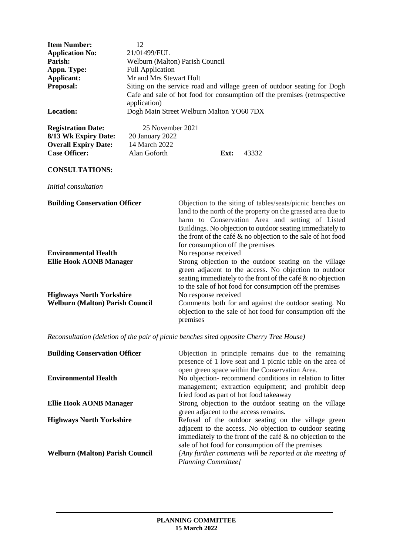| <b>Item Number:</b><br><b>Application No:</b><br>Parish:<br>Appn. Type:<br>Applicant:<br>Proposal:<br><b>Location:</b>            | 12<br>21/01499/FUL<br>Welburn (Malton) Parish Council<br><b>Full Application</b><br>Mr and Mrs Stewart Holt<br>Siting on the service road and village green of outdoor seating for Dogh<br>Cafe and sale of hot food for consumption off the premises (retrospective<br>application)<br>Dogh Main Street Welburn Malton YO60 7DX |                                                                                                                                                                                                                                                                                                                                                  |                                                                                                                    |
|-----------------------------------------------------------------------------------------------------------------------------------|----------------------------------------------------------------------------------------------------------------------------------------------------------------------------------------------------------------------------------------------------------------------------------------------------------------------------------|--------------------------------------------------------------------------------------------------------------------------------------------------------------------------------------------------------------------------------------------------------------------------------------------------------------------------------------------------|--------------------------------------------------------------------------------------------------------------------|
| <b>Registration Date:</b><br>8/13 Wk Expiry Date:<br><b>Overall Expiry Date:</b><br><b>Case Officer:</b><br><b>CONSULTATIONS:</b> | 25 November 2021<br>20 January 2022<br>14 March 2022<br>Alan Goforth                                                                                                                                                                                                                                                             | Ext:                                                                                                                                                                                                                                                                                                                                             | 43332                                                                                                              |
| Initial consultation                                                                                                              |                                                                                                                                                                                                                                                                                                                                  |                                                                                                                                                                                                                                                                                                                                                  |                                                                                                                    |
| <b>Building Conservation Officer</b>                                                                                              |                                                                                                                                                                                                                                                                                                                                  | Objection to the siting of tables/seats/picnic benches on<br>land to the north of the property on the grassed area due to<br>harm to Conservation Area and setting of Listed<br>Buildings. No objection to outdoor seating immediately to<br>the front of the café $\&$ no objection to the sale of hot food<br>for consumption off the premises |                                                                                                                    |
| <b>Environmental Health</b><br><b>Ellie Hook AONB Manager</b>                                                                     |                                                                                                                                                                                                                                                                                                                                  | No response received<br>Strong objection to the outdoor seating on the village<br>green adjacent to the access. No objection to outdoor<br>seating immediately to the front of the café & no objection<br>to the sale of hot food for consumption off the premises                                                                               |                                                                                                                    |
| <b>Highways North Yorkshire</b><br><b>Welburn (Malton) Parish Council</b>                                                         |                                                                                                                                                                                                                                                                                                                                  | No response received<br>premises                                                                                                                                                                                                                                                                                                                 | Comments both for and against the outdoor seating. No<br>objection to the sale of hot food for consumption off the |

*Reconsultation (deletion of the pair of picnic benches sited opposite Cherry Tree House)*

| <b>Building Conservation Officer</b>   | Objection in principle remains due to the remaining<br>presence of 1 love seat and 1 picnic table on the area of<br>open green space within the Conservation Area.                                                                   |
|----------------------------------------|--------------------------------------------------------------------------------------------------------------------------------------------------------------------------------------------------------------------------------------|
| <b>Environmental Health</b>            | No objection- recommend conditions in relation to litter<br>management; extraction equipment; and prohibit deep<br>fried food as part of hot food takeaway                                                                           |
| <b>Ellie Hook AONB Manager</b>         | Strong objection to the outdoor seating on the village<br>green adjacent to the access remains.                                                                                                                                      |
| <b>Highways North Yorkshire</b>        | Refusal of the outdoor seating on the village green<br>adjacent to the access. No objection to outdoor seating<br>immediately to the front of the café $\&$ no objection to the<br>sale of hot food for consumption off the premises |
| <b>Welburn (Malton) Parish Council</b> | [Any further comments will be reported at the meeting of<br>Planning Committee]                                                                                                                                                      |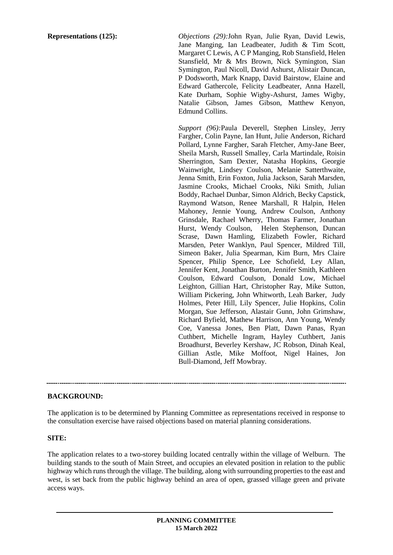**Representations (125):** *Objections (29):*John Ryan, Julie Ryan, David Lewis, Jane Manging, Ian Leadbeater, Judith & Tim Scott, Margaret C Lewis, A C P Manging, Rob Stansfield, Helen Stansfield, Mr & Mrs Brown, Nick Symington, Sian Symington, Paul Nicoll, David Ashurst, Alistair Duncan, P Dodsworth, Mark Knapp, David Bairstow, Elaine and Edward Gathercole, Felicity Leadbeater, Anna Hazell, Kate Durham, Sophie Wigby-Ashurst, James Wigby, Natalie Gibson, James Gibson, Matthew Kenyon, Edmund Collins.

> *Support (96):*Paula Deverell, Stephen Linsley, Jerry Fargher, Colin Payne, Ian Hunt, Julie Anderson, Richard Pollard, Lynne Fargher, Sarah Fletcher, Amy-Jane Beer, Sheila Marsh, Russell Smalley, Carla Martindale, Roisin Sherrington, Sam Dexter, Natasha Hopkins, Georgie Wainwright, Lindsey Coulson, Melanie Satterthwaite, Jenna Smith, Erin Foxton, Julia Jackson, Sarah Marsden, Jasmine Crooks, Michael Crooks, Niki Smith, Julian Boddy, Rachael Dunbar, Simon Aldrich, Becky Capstick, Raymond Watson, Renee Marshall, R Halpin, Helen Mahoney, Jennie Young, Andrew Coulson, Anthony Grinsdale, Rachael Wherry, Thomas Farmer, Jonathan Hurst, Wendy Coulson, Helen Stephenson, Duncan Scrase, Dawn Hamling, Elizabeth Fowler, Richard Marsden, Peter Wanklyn, Paul Spencer, Mildred Till, Simeon Baker, Julia Spearman, Kim Burn, Mrs Claire Spencer, Philip Spence, Lee Schofield, Ley Allan, Jennifer Kent, Jonathan Burton, Jennifer Smith, Kathleen Coulson, Edward Coulson, Donald Low, Michael Leighton, Gillian Hart, Christopher Ray, Mike Sutton, William Pickering, John Whitworth, Leah Barker, Judy Holmes, Peter Hill, Lily Spencer, Julie Hopkins, Colin Morgan, Sue Jefferson, Alastair Gunn, John Grimshaw, Richard Byfield, Mathew Harrison, Ann Young, Wendy Coe, Vanessa Jones, Ben Platt, Dawn Panas, Ryan Cuthbert, Michelle Ingram, Hayley Cuthbert, Janis Broadhurst, Beverley Kershaw, JC Robson, Dinah Keal, Gillian Astle, Mike Moffoot, Nigel Haines, Jon Bull-Diamond, Jeff Mowbray.

## **BACKGROUND:**

The application is to be determined by Planning Committee as representations received in response to the consultation exercise have raised objections based on material planning considerations.

#### **SITE:**

The application relates to a two-storey building located centrally within the village of Welburn. The building stands to the south of Main Street, and occupies an elevated position in relation to the public highway which runs through the village. The building, along with surrounding properties to the east and west, is set back from the public highway behind an area of open, grassed village green and private access ways.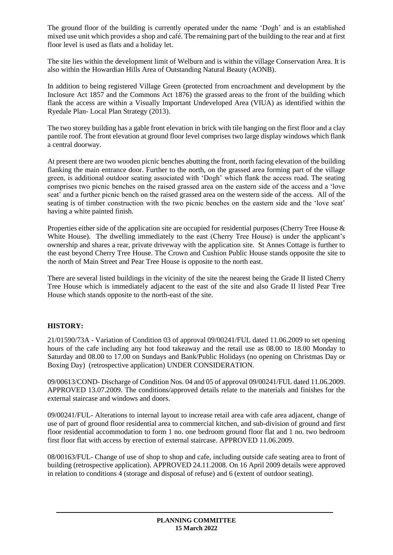The ground floor of the building is currently operated under the name 'Dogh' and is an established mixed use unit which provides a shop and café. The remaining part of the building to the rear and at first floor level is used as flats and a holiday let.

The site lies within the development limit of Welburn and is within the village Conservation Area. It is also within the Howardian Hills Area of Outstanding Natural Beauty (AONB).

In addition to being registered Village Green (protected from encroachment and development by the Inclosure Act 1857 and the Commons Act 1876) the grassed areas to the front of the building which flank the access are within a Visually Important Undeveloped Area (VIUA) as identified within the Ryedale Plan- Local Plan Strategy (2013).

The two storey building has a gable front elevation in brick with tile hanging on the first floor and a clay pantile roof. The front elevation at ground floor level comprises two large display windows which flank a central doorway.

At present there are two wooden picnic benches abutting the front, north facing elevation of the building flanking the main entrance door. Further to the north, on the grassed area forming part of the village green, is additional outdoor seating associated with 'Dogh' which flank the access road. The seating comprises two picnic benches on the raised grassed area on the eastern side of the access and a 'love seat' and a further picnic bench on the raised grassed area on the western side of the access. All of the seating is of timber construction with the two picnic benches on the eastern side and the 'love seat' having a white painted finish.

Properties either side of the application site are occupied for residential purposes (Cherry Tree House & White House). The dwelling immediately to the east (Cherry Tree House) is under the applicant's ownership and shares a rear, private driveway with the application site. St Annes Cottage is further to the east beyond Cherry Tree House. The Crown and Cushion Public House stands opposite the site to the north of Main Street and Pear Tree House is opposite to the north east.

There are several listed buildings in the vicinity of the site the nearest being the Grade II listed Cherry Tree House which is immediately adjacent to the east of the site and also Grade II listed Pear Tree House which stands opposite to the north-east of the site.

# **HISTORY:**

21/01590/73A - Variation of Condition 03 of approval 09/00241/FUL dated 11.06.2009 to set opening hours of the cafe including any hot food takeaway and the retail use as 08.00 to 18.00 Monday to Saturday and 08.00 to 17.00 on Sundays and Bank/Public Holidays (no opening on Christmas Day or Boxing Day) (retrospective application) UNDER CONSIDERATION.

09/00613/COND- Discharge of Condition Nos. 04 and 05 of approval 09/00241/FUL dated 11.06.2009. APPROVED 13.07.2009. The conditions/approved details relate to the materials and finishes for the external staircase and windows and doors.

09/00241/FUL- Alterations to internal layout to increase retail area with cafe area adjacent, change of use of part of ground floor residential area to commercial kitchen, and sub-division of ground and first floor residential accommodation to form 1 no. one bedroom ground floor flat and 1 no. two bedroom first floor flat with access by erection of external staircase. APPROVED 11.06.2009.

08/00163/FUL- Change of use of shop to shop and cafe, including outside cafe seating area to front of building (retrospective application). APPROVED 24.11.2008. On 16 April 2009 details were approved in relation to conditions 4 (storage and disposal of refuse) and 6 (extent of outdoor seating).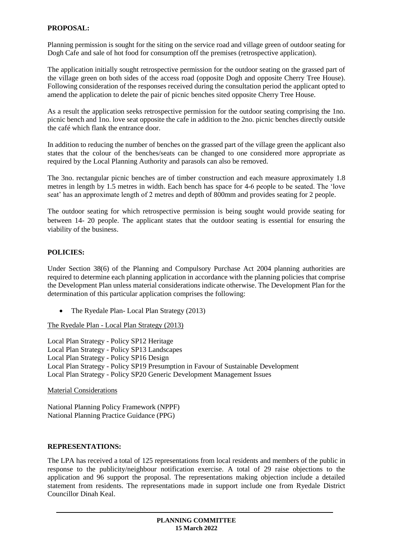### **PROPOSAL:**

Planning permission is sought for the siting on the service road and village green of outdoor seating for Dogh Cafe and sale of hot food for consumption off the premises (retrospective application).

The application initially sought retrospective permission for the outdoor seating on the grassed part of the village green on both sides of the access road (opposite Dogh and opposite Cherry Tree House). Following consideration of the responses received during the consultation period the applicant opted to amend the application to delete the pair of picnic benches sited opposite Cherry Tree House.

As a result the application seeks retrospective permission for the outdoor seating comprising the 1no. picnic bench and 1no. love seat opposite the cafe in addition to the 2no. picnic benches directly outside the café which flank the entrance door.

In addition to reducing the number of benches on the grassed part of the village green the applicant also states that the colour of the benches/seats can be changed to one considered more appropriate as required by the Local Planning Authority and parasols can also be removed.

The 3no. rectangular picnic benches are of timber construction and each measure approximately 1.8 metres in length by 1.5 metres in width. Each bench has space for 4-6 people to be seated. The 'love seat' has an approximate length of 2 metres and depth of 800mm and provides seating for 2 people.

The outdoor seating for which retrospective permission is being sought would provide seating for between 14- 20 people. The applicant states that the outdoor seating is essential for ensuring the viability of the business.

#### **POLICIES:**

Under Section 38(6) of the Planning and Compulsory Purchase Act 2004 planning authorities are required to determine each planning application in accordance with the planning policies that comprise the Development Plan unless material considerations indicate otherwise. The Development Plan for the determination of this particular application comprises the following:

• The Ryedale Plan- Local Plan Strategy (2013)

The Ryedale Plan - Local Plan Strategy (2013)

Local Plan Strategy - Policy SP12 Heritage Local Plan Strategy - Policy SP13 Landscapes Local Plan Strategy - Policy SP16 Design Local Plan Strategy - Policy SP19 Presumption in Favour of Sustainable Development Local Plan Strategy - Policy SP20 Generic Development Management Issues

Material Considerations

National Planning Policy Framework (NPPF) National Planning Practice Guidance (PPG)

#### **REPRESENTATIONS:**

The LPA has received a total of 125 representations from local residents and members of the public in response to the publicity/neighbour notification exercise. A total of 29 raise objections to the application and 96 support the proposal. The representations making objection include a detailed statement from residents. The representations made in support include one from Ryedale District Councillor Dinah Keal.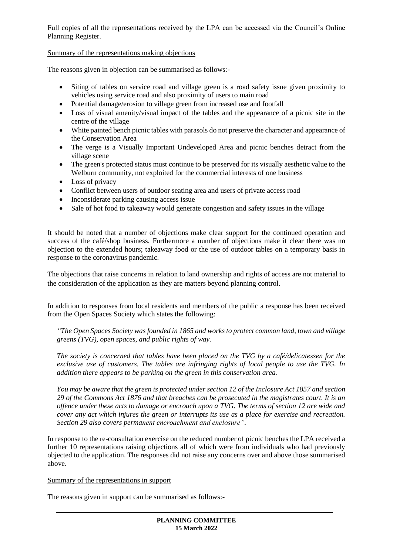Full copies of all the representations received by the LPA can be accessed via the Council's Online Planning Register.

### Summary of the representations making objections

The reasons given in objection can be summarised as follows:-

- Siting of tables on service road and village green is a road safety issue given proximity to vehicles using service road and also proximity of users to main road
- Potential damage/erosion to village green from increased use and footfall
- Loss of visual amenity/visual impact of the tables and the appearance of a picnic site in the centre of the village
- White painted bench picnic tables with parasols do not preserve the character and appearance of the Conservation Area
- The verge is a Visually Important Undeveloped Area and picnic benches detract from the village scene
- The green's protected status must continue to be preserved for its visually aesthetic value to the Welburn community, not exploited for the commercial interests of one business
- Loss of privacy
- Conflict between users of outdoor seating area and users of private access road
- Inconsiderate parking causing access issue
- Sale of hot food to takeaway would generate congestion and safety issues in the village

It should be noted that a number of objections make clear support for the continued operation and success of the café/shop business. Furthermore a number of objections make it clear there was n**o**  objection to the extended hours; takeaway food or the use of outdoor tables on a temporary basis in response to the coronavirus pandemic.

The objections that raise concerns in relation to land ownership and rights of access are not material to the consideration of the application as they are matters beyond planning control.

In addition to responses from local residents and members of the public a response has been received from the Open Spaces Society which states the following:

*"The Open Spaces Society was founded in 1865 and works to protect common land, town and village greens (TVG), open spaces, and public rights of way.*

*The society is concerned that tables have been placed on the TVG by a café/delicatessen for the exclusive use of customers. The tables are infringing rights of local people to use the TVG. In addition there appears to be parking on the green in this conservation area.*

*You may be aware that the green is protected under section 12 of the Inclosure Act 1857 and section 29 of the Commons Act 1876 and that breaches can be prosecuted in the magistrates court. It is an offence under these acts to damage or encroach upon a TVG. The terms of section 12 are wide and cover any act which injures the green or interrupts its use as a place for exercise and recreation. Section 29 also covers permanent encroachment and enclosure".*

In response to the re-consultation exercise on the reduced number of picnic benches the LPA received a further 10 representations raising objections all of which were from individuals who had previously objected to the application. The responses did not raise any concerns over and above those summarised above.

Summary of the representations in support

The reasons given in support can be summarised as follows:-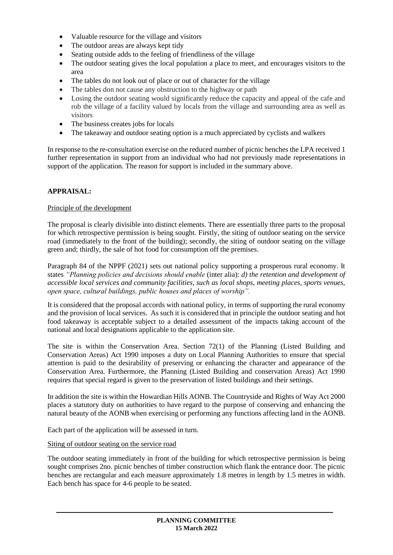- Valuable resource for the village and visitors
- The outdoor areas are always kept tidy
- Seating outside adds to the feeling of friendliness of the village
- The outdoor seating gives the local population a place to meet, and encourages visitors to the area
- The tables do not look out of place or out of character for the village
- The tables don not cause any obstruction to the highway or path
- Losing the outdoor seating would significantly reduce the capacity and appeal of the cafe and rob the village of a facility valued by locals from the village and surrounding area as well as visitors
- The business creates jobs for locals
- The takeaway and outdoor seating option is a much appreciated by cyclists and walkers

In response to the re-consultation exercise on the reduced number of picnic benches the LPA received 1 further representation in support from an individual who had not previously made representations in support of the application. The reason for support is included in the summary above.

## **APPRAISAL:**

### Principle of the development

The proposal is clearly divisible into distinct elements. There are essentially three parts to the proposal for which retrospective permission is being sought. Firstly, the siting of outdoor seating on the service road (immediately to the front of the building); secondly, the siting of outdoor seating on the village green and; thirdly, the sale of hot food for consumption off the premises.

Paragraph 84 of the NPPF (2021) sets out national policy supporting a prosperous rural economy. It states *"Planning policies and decisions should enable* (inter alia): *d) the retention and development of accessible local services and community facilities, such as local shops, meeting places, sports venues, open space, cultural buildings, public houses and places of worship".*

It is considered that the proposal accords with national policy, in terms of supporting the rural economy and the provision of local services. As such it is considered that in principle the outdoor seating and hot food takeaway is acceptable subject to a detailed assessment of the impacts taking account of the national and local designations applicable to the application site.

The site is within the Conservation Area. Section 72(1) of the Planning (Listed Building and Conservation Areas) Act 1990 imposes a duty on Local Planning Authorities to ensure that special attention is paid to the desirability of preserving or enhancing the character and appearance of the Conservation Area. Furthermore, the Planning (Listed Building and conservation Areas) Act 1990 requires that special regard is given to the preservation of listed buildings and their settings.

In addition the site is within the Howardian Hills AONB. The Countryside and Rights of Way Act 2000 places a statutory duty on authorities to have regard to the purpose of conserving and enhancing the natural beauty of the AONB when exercising or performing any functions affecting land in the AONB.

Each part of the application will be assessed in turn.

#### Siting of outdoor seating on the service road

The outdoor seating immediately in front of the building for which retrospective permission is being sought comprises 2no. picnic benches of timber construction which flank the entrance door. The picnic benches are rectangular and each measure approximately 1.8 metres in length by 1.5 metres in width. Each bench has space for 4-6 people to be seated.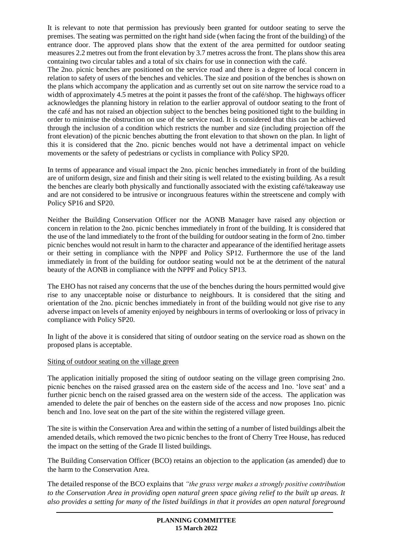It is relevant to note that permission has previously been granted for outdoor seating to serve the premises. The seating was permitted on the right hand side (when facing the front of the building) of the entrance door. The approved plans show that the extent of the area permitted for outdoor seating measures 2.2 metres out from the front elevation by 3.7 metres across the front. The plans show this area containing two circular tables and a total of six chairs for use in connection with the café.

The 2no. picnic benches are positioned on the service road and there is a degree of local concern in relation to safety of users of the benches and vehicles. The size and position of the benches is shown on the plans which accompany the application and as currently set out on site narrow the service road to a width of approximately 4.5 metres at the point it passes the front of the café/shop. The highways officer acknowledges the planning history in relation to the earlier approval of outdoor seating to the front of the café and has not raised an objection subject to the benches being positioned tight to the building in order to minimise the obstruction on use of the service road. It is considered that this can be achieved through the inclusion of a condition which restricts the number and size (including projection off the front elevation) of the picnic benches abutting the front elevation to that shown on the plan. In light of this it is considered that the 2no. picnic benches would not have a detrimental impact on vehicle movements or the safety of pedestrians or cyclists in compliance with Policy SP20.

In terms of appearance and visual impact the 2no. picnic benches immediately in front of the building are of uniform design, size and finish and their siting is well related to the existing building. As a result the benches are clearly both physically and functionally associated with the existing café/takeaway use and are not considered to be intrusive or incongruous features within the streetscene and comply with Policy SP16 and SP20.

Neither the Building Conservation Officer nor the AONB Manager have raised any objection or concern in relation to the 2no. picnic benches immediately in front of the building. It is considered that the use of the land immediately to the front of the building for outdoor seating in the form of 2no. timber picnic benches would not result in harm to the character and appearance of the identified heritage assets or their setting in compliance with the NPPF and Policy SP12. Furthermore the use of the land immediately in front of the building for outdoor seating would not be at the detriment of the natural beauty of the AONB in compliance with the NPPF and Policy SP13.

The EHO has not raised any concerns that the use of the benches during the hours permitted would give rise to any unacceptable noise or disturbance to neighbours. It is considered that the siting and orientation of the 2no. picnic benches immediately in front of the building would not give rise to any adverse impact on levels of amenity enjoyed by neighbours in terms of overlooking or loss of privacy in compliance with Policy SP20.

In light of the above it is considered that siting of outdoor seating on the service road as shown on the proposed plans is acceptable.

## Siting of outdoor seating on the village green

The application initially proposed the siting of outdoor seating on the village green comprising 2no. picnic benches on the raised grassed area on the eastern side of the access and 1no. 'love seat' and a further picnic bench on the raised grassed area on the western side of the access. The application was amended to delete the pair of benches on the eastern side of the access and now proposes 1no. picnic bench and 1no. love seat on the part of the site within the registered village green.

The site is within the Conservation Area and within the setting of a number of listed buildings albeit the amended details, which removed the two picnic benches to the front of Cherry Tree House, has reduced the impact on the setting of the Grade II listed buildings.

The Building Conservation Officer (BCO) retains an objection to the application (as amended) due to the harm to the Conservation Area.

The detailed response of the BCO explains that *"the grass verge makes a strongly positive contribution to the Conservation Area in providing open natural green space giving relief to the built up areas. It also provides a setting for many of the listed buildings in that it provides an open natural foreground*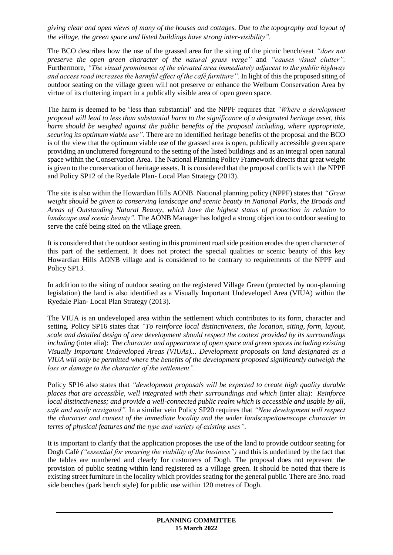*giving clear and open views of many of the houses and cottages. Due to the topography and layout of the village, the green space and listed buildings have strong inter-visibility".*

The BCO describes how the use of the grassed area for the siting of the picnic bench/seat *"does not preserve the open green character of the natural grass verge"* and *"causes visual clutter".* Furthermore, *"The visual prominence of the elevated area immediately adjacent to the public highway and access road increases the harmful effect of the café furniture".* In light of this the proposed siting of outdoor seating on the village green will not preserve or enhance the Welburn Conservation Area by virtue of its cluttering impact in a publically visible area of open green space.

The harm is deemed to be 'less than substantial' and the NPPF requires that *"Where a development proposal will lead to less than substantial harm to the significance of a designated heritage asset, this harm should be weighed against the public benefits of the proposal including, where appropriate, securing its optimum viable use".* There are no identified heritage benefits of the proposal and the BCO is of the view that the optimum viable use of the grassed area is open, publically accessible green space providing an uncluttered foreground to the setting of the listed buildings and as an integral open natural space within the Conservation Area. The National Planning Policy Framework directs that great weight is given to the conservation of heritage assets. It is considered that the proposal conflicts with the NPPF and Policy SP12 of the Ryedale Plan- Local Plan Strategy (2013).

The site is also within the Howardian Hills AONB. National planning policy (NPPF) states that *"Great weight should be given to conserving landscape and scenic beauty in National Parks, the Broads and Areas of Outstanding Natural Beauty, which have the highest status of protection in relation to landscape and scenic beauty".* The AONB Manager has lodged a strong objection to outdoor seating to serve the café being sited on the village green.

It is considered that the outdoor seating in this prominent road side position erodes the open character of this part of the settlement. It does not protect the special qualities or scenic beauty of this key Howardian Hills AONB village and is considered to be contrary to requirements of the NPPF and Policy SP13.

In addition to the siting of outdoor seating on the registered Village Green (protected by non-planning legislation) the land is also identified as a Visually Important Undeveloped Area (VIUA) within the Ryedale Plan- Local Plan Strategy (2013).

The VIUA is an undeveloped area within the settlement which contributes to its form, character and setting. Policy SP16 states that *"To reinforce local distinctiveness, the location, siting, form, layout, scale and detailed design of new development should respect the context provided by its surroundings including* (inter alia): *The character and appearance of open space and green spaces including existing Visually Important Undeveloped Areas (VIUAs)... Development proposals on land designated as a VIUA will only be permitted where the benefits of the development proposed significantly outweigh the loss or damage to the character of the settlement".*

Policy SP16 also states that *"development proposals will be expected to create high quality durable places that are accessible, well integrated with their surroundings and which* (inter alia): *Reinforce local distinctiveness; and provide a well-connected public realm which is accessible and usable by all, safe and easily navigated".* In a similar vein Policy SP20 requires that *"New development will respect the character and context of the immediate locality and the wider landscape/townscape character in terms of physical features and the type and variety of existing uses".*

It is important to clarify that the application proposes the use of the land to provide outdoor seating for Dogh Café *("essential for ensuring the viability of the business")* and this is underlined by the fact that the tables are numbered and clearly for customers of Dogh. The proposal does not represent the provision of public seating within land registered as a village green. It should be noted that there is existing street furniture in the locality which provides seating for the general public. There are 3no. road side benches (park bench style) for public use within 120 metres of Dogh.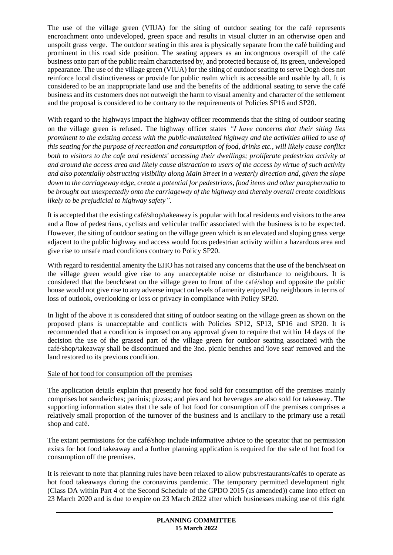The use of the village green (VIUA) for the siting of outdoor seating for the café represents encroachment onto undeveloped, green space and results in visual clutter in an otherwise open and unspoilt grass verge*.* The outdoor seating in this area is physically separate from the café building and prominent in this road side position. The seating appears as an incongruous overspill of the café business onto part of the public realm characterised by, and protected because of, its green, undeveloped appearance. The use of the village green (VIUA) for the siting of outdoor seating to serve Dogh does not reinforce local distinctiveness or provide for public realm which is accessible and usable by all. It is considered to be an inappropriate land use and the benefits of the additional seating to serve the café business and its customers does not outweigh the harm to visual amenity and character of the settlement and the proposal is considered to be contrary to the requirements of Policies SP16 and SP20.

With regard to the highways impact the highway officer recommends that the siting of outdoor seating on the village green is refused. The highway officer states *"I have concerns that their siting lies prominent to the existing access with the public-maintained highway and the activities allied to use of this seating for the purpose of recreation and consumption of food, drinks etc., will likely cause conflict both to visitors to the cafe and residents' accessing their dwellings; proliferate pedestrian activity at and around the access area and likely cause distraction to users of the access by virtue of such activity and also potentially obstructing visibility along Main Street in a westerly direction and, given the slope down to the carriageway edge, create a potential for pedestrians, food items and other paraphernalia to be brought out unexpectedly onto the carriageway of the highway and thereby overall create conditions likely to be prejudicial to highway safety".*

It is accepted that the existing café/shop/takeaway is popular with local residents and visitors to the area and a flow of pedestrians, cyclists and vehicular traffic associated with the business is to be expected. However, the siting of outdoor seating on the village green which is an elevated and sloping grass verge adjacent to the public highway and access would focus pedestrian activity within a hazardous area and give rise to unsafe road conditions contrary to Policy SP20.

With regard to residential amenity the EHO has not raised any concerns that the use of the bench/seat on the village green would give rise to any unacceptable noise or disturbance to neighbours. It is considered that the bench/seat on the village green to front of the café/shop and opposite the public house would not give rise to any adverse impact on levels of amenity enjoyed by neighbours in terms of loss of outlook, overlooking or loss or privacy in compliance with Policy SP20.

In light of the above it is considered that siting of outdoor seating on the village green as shown on the proposed plans is unacceptable and conflicts with Policies SP12, SP13, SP16 and SP20. It is recommended that a condition is imposed on any approval given to require that within 14 days of the decision the use of the grassed part of the village green for outdoor seating associated with the café/shop/takeaway shall be discontinued and the 3no. picnic benches and 'love seat' removed and the land restored to its previous condition.

## Sale of hot food for consumption off the premises

The application details explain that presently hot food sold for consumption off the premises mainly comprises hot sandwiches; paninis; pizzas; and pies and hot beverages are also sold for takeaway. The supporting information states that the sale of hot food for consumption off the premises comprises a relatively small proportion of the turnover of the business and is ancillary to the primary use a retail shop and café.

The extant permissions for the café/shop include informative advice to the operator that no permission exists for hot food takeaway and a further planning application is required for the sale of hot food for consumption off the premises.

It is relevant to note that planning rules have been relaxed to allow pubs/restaurants/cafés to operate as hot food takeaways during the coronavirus pandemic. The temporary permitted development right (Class DA within Part 4 of the Second Schedule of the GPDO 2015 (as amended)) came into effect on 23 March 2020 and is due to expire on 23 March 2022 after which businesses making use of this right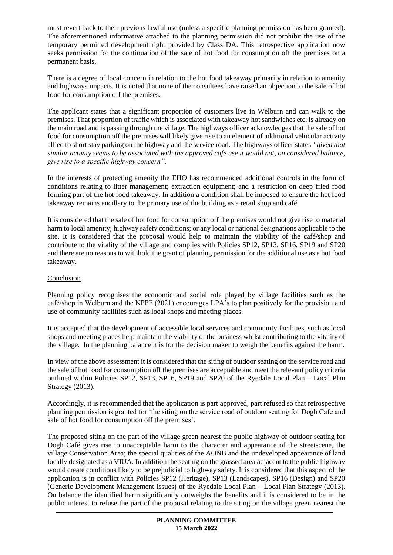must revert back to their previous lawful use (unless a specific planning permission has been granted). The aforementioned informative attached to the planning permission did not prohibit the use of the temporary permitted development right provided by Class DA. This retrospective application now seeks permission for the continuation of the sale of hot food for consumption off the premises on a permanent basis.

There is a degree of local concern in relation to the hot food takeaway primarily in relation to amenity and highways impacts. It is noted that none of the consultees have raised an objection to the sale of hot food for consumption off the premises.

The applicant states that a significant proportion of customers live in Welburn and can walk to the premises. That proportion of traffic which is associated with takeaway hot sandwiches etc. is already on the main road and is passing through the village. The highways officer acknowledges that the sale of hot food for consumption off the premises will likely give rise to an element of additional vehicular activity allied to short stay parking on the highway and the service road. The highways officer states *"given that similar activity seems to be associated with the approved cafe use it would not, on considered balance, give rise to a specific highway concern".*

In the interests of protecting amenity the EHO has recommended additional controls in the form of conditions relating to litter management; extraction equipment; and a restriction on deep fried food forming part of the hot food takeaway. In addition a condition shall be imposed to ensure the hot food takeaway remains ancillary to the primary use of the building as a retail shop and café.

It is considered that the sale of hot food for consumption off the premises would not give rise to material harm to local amenity; highway safety conditions; or any local or national designations applicable to the site. It is considered that the proposal would help to maintain the viability of the café/shop and contribute to the vitality of the village and complies with Policies SP12, SP13, SP16, SP19 and SP20 and there are no reasons to withhold the grant of planning permission for the additional use as a hot food takeaway.

## **Conclusion**

Planning policy recognises the economic and social role played by village facilities such as the café/shop in Welburn and the NPPF (2021) encourages LPA's to plan positively for the provision and use of community facilities such as local shops and meeting places.

It is accepted that the development of accessible local services and community facilities, such as local shops and meeting places help maintain the viability of the business whilst contributing to the vitality of the village. In the planning balance it is for the decision maker to weigh the benefits against the harm.

In view of the above assessment it is considered that the siting of outdoor seating on the service road and the sale of hot food for consumption off the premises are acceptable and meet the relevant policy criteria outlined within Policies SP12, SP13, SP16, SP19 and SP20 of the Ryedale Local Plan – Local Plan Strategy (2013).

Accordingly, it is recommended that the application is part approved, part refused so that retrospective planning permission is granted for 'the siting on the service road of outdoor seating for Dogh Cafe and sale of hot food for consumption off the premises'.

The proposed siting on the part of the village green nearest the public highway of outdoor seating for Dogh Café gives rise to unacceptable harm to the character and appearance of the streetscene, the village Conservation Area; the special qualities of the AONB and the undeveloped appearance of land locally designated as a VIUA. In addition the seating on the grassed area adjacent to the public highway would create conditions likely to be prejudicial to highway safety. It is considered that this aspect of the application is in conflict with Policies SP12 (Heritage), SP13 (Landscapes), SP16 (Design) and SP20 (Generic Development Management Issues) of the Ryedale Local Plan – Local Plan Strategy (2013). On balance the identified harm significantly outweighs the benefits and it is considered to be in the public interest to refuse the part of the proposal relating to the siting on the village green nearest the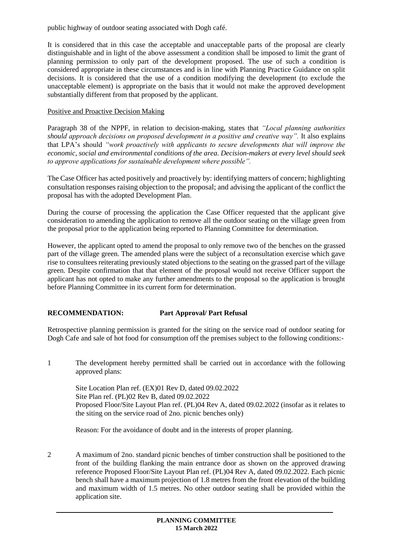public highway of outdoor seating associated with Dogh café.

It is considered that in this case the acceptable and unacceptable parts of the proposal are clearly distinguishable and in light of the above assessment a condition shall be imposed to limit the grant of planning permission to only part of the development proposed. The use of such a condition is considered appropriate in these circumstances and is in line with Planning Practice Guidance on split decisions. It is considered that the use of a condition modifying the development (to exclude the unacceptable element) is appropriate on the basis that it would not make the approved development substantially different from that proposed by the applicant.

## Positive and Proactive Decision Making

Paragraph 38 of the NPPF, in relation to decision-making, states that *"Local planning authorities should approach decisions on proposed development in a positive and creative way".* It also explains that LPA's should *"work proactively with applicants to secure developments that will improve the economic, social and environmental conditions of the area. Decision-makers at every level should seek to approve applications for sustainable development where possible".*

The Case Officer has acted positively and proactively by: identifying matters of concern; highlighting consultation responses raising objection to the proposal; and advising the applicant of the conflict the proposal has with the adopted Development Plan.

During the course of processing the application the Case Officer requested that the applicant give consideration to amending the application to remove all the outdoor seating on the village green from the proposal prior to the application being reported to Planning Committee for determination.

However, the applicant opted to amend the proposal to only remove two of the benches on the grassed part of the village green. The amended plans were the subject of a reconsultation exercise which gave rise to consultees reiterating previously stated objections to the seating on the grassed part of the village green. Despite confirmation that that element of the proposal would not receive Officer support the applicant has not opted to make any further amendments to the proposal so the application is brought before Planning Committee in its current form for determination.

# **RECOMMENDATION: Part Approval/ Part Refusal**

Retrospective planning permission is granted for the siting on the service road of outdoor seating for Dogh Cafe and sale of hot food for consumption off the premises subject to the following conditions:-

1 The development hereby permitted shall be carried out in accordance with the following approved plans:

Site Location Plan ref. (EX)01 Rev D, dated 09.02.2022 Site Plan ref. (PL)02 Rev B, dated 09.02.2022 Proposed Floor/Site Layout Plan ref. (PL)04 Rev A, dated 09.02.2022 (insofar as it relates to the siting on the service road of 2no. picnic benches only)

Reason: For the avoidance of doubt and in the interests of proper planning.

2 A maximum of 2no. standard picnic benches of timber construction shall be positioned to the front of the building flanking the main entrance door as shown on the approved drawing reference Proposed Floor/Site Layout Plan ref. (PL)04 Rev A, dated 09.02.2022. Each picnic bench shall have a maximum projection of 1.8 metres from the front elevation of the building and maximum width of 1.5 metres. No other outdoor seating shall be provided within the application site.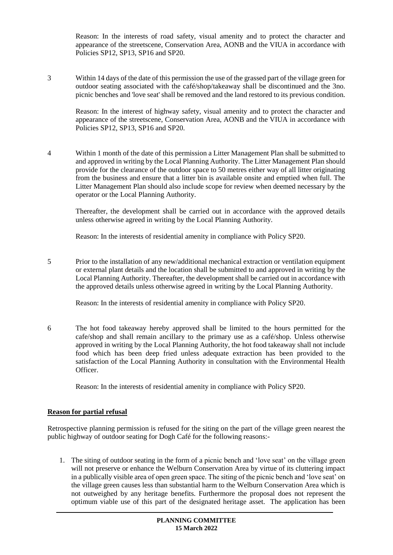Reason: In the interests of road safety, visual amenity and to protect the character and appearance of the streetscene, Conservation Area, AONB and the VIUA in accordance with Policies SP12, SP13, SP16 and SP20.

3 Within 14 days of the date of this permission the use of the grassed part of the village green for outdoor seating associated with the café/shop/takeaway shall be discontinued and the 3no. picnic benches and 'love seat' shall be removed and the land restored to its previous condition.

Reason: In the interest of highway safety, visual amenity and to protect the character and appearance of the streetscene, Conservation Area, AONB and the VIUA in accordance with Policies SP12, SP13, SP16 and SP20.

4 Within 1 month of the date of this permission a Litter Management Plan shall be submitted to and approved in writing by the Local Planning Authority. The Litter Management Plan should provide for the clearance of the outdoor space to 50 metres either way of all litter originating from the business and ensure that a litter bin is available onsite and emptied when full. The Litter Management Plan should also include scope for review when deemed necessary by the operator or the Local Planning Authority.

Thereafter, the development shall be carried out in accordance with the approved details unless otherwise agreed in writing by the Local Planning Authority.

Reason: In the interests of residential amenity in compliance with Policy SP20.

5 Prior to the installation of any new/additional mechanical extraction or ventilation equipment or external plant details and the location shall be submitted to and approved in writing by the Local Planning Authority. Thereafter, the development shall be carried out in accordance with the approved details unless otherwise agreed in writing by the Local Planning Authority.

Reason: In the interests of residential amenity in compliance with Policy SP20.

6 The hot food takeaway hereby approved shall be limited to the hours permitted for the cafe/shop and shall remain ancillary to the primary use as a café/shop. Unless otherwise approved in writing by the Local Planning Authority, the hot food takeaway shall not include food which has been deep fried unless adequate extraction has been provided to the satisfaction of the Local Planning Authority in consultation with the Environmental Health Officer.

Reason: In the interests of residential amenity in compliance with Policy SP20.

# **Reason for partial refusal**

Retrospective planning permission is refused for the siting on the part of the village green nearest the public highway of outdoor seating for Dogh Café for the following reasons:-

1. The siting of outdoor seating in the form of a picnic bench and 'love seat' on the village green will not preserve or enhance the Welburn Conservation Area by virtue of its cluttering impact in a publically visible area of open green space. The siting of the picnic bench and 'love seat' on the village green causes less than substantial harm to the Welburn Conservation Area which is not outweighed by any heritage benefits. Furthermore the proposal does not represent the optimum viable use of this part of the designated heritage asset. The application has been